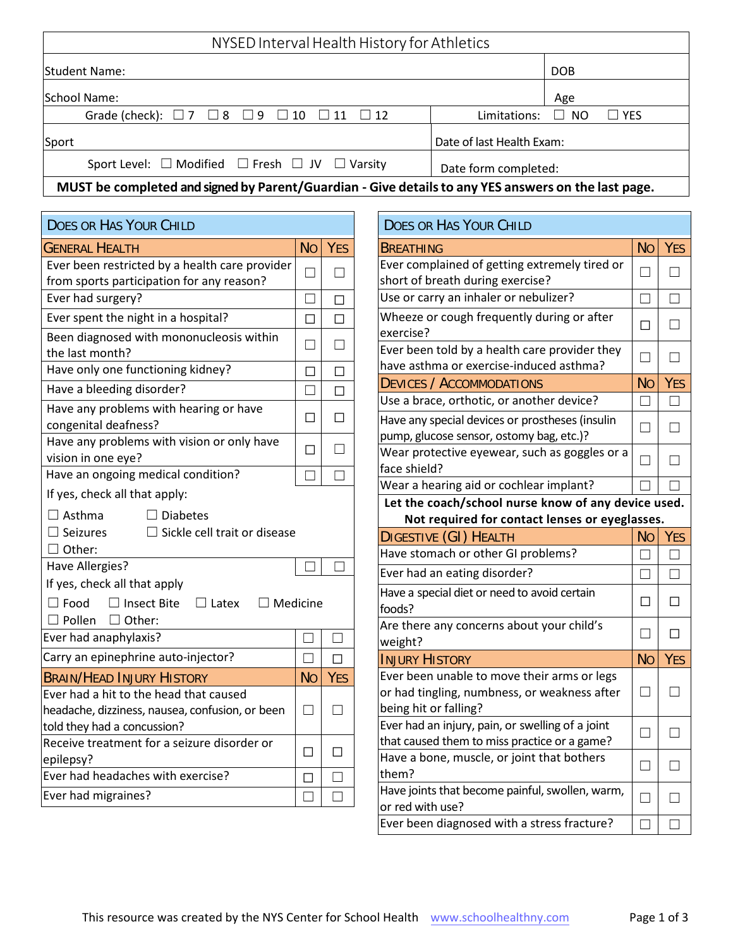| NYSED Interval Health History for Athletics                                                         |                                      |  |  |  |
|-----------------------------------------------------------------------------------------------------|--------------------------------------|--|--|--|
| <b>IStudent Name:</b><br><b>DOB</b>                                                                 |                                      |  |  |  |
| School Name:<br>Age                                                                                 |                                      |  |  |  |
| Grade (check): $\Box 7$ $\Box 8$ $\Box 9$ $\Box 10$ $\Box 11$ $\Box 12$                             | $\Box$ YES<br>Limitations: $\Box$ NO |  |  |  |
| Date of last Health Exam:<br>Sport                                                                  |                                      |  |  |  |
| Sport Level: $\Box$ Modified $\Box$ Fresh $\Box$ JV $\Box$ Varsity<br>Date form completed:          |                                      |  |  |  |
| MUST be completed and signed by Parent/Guardian - Give details to any YES answers on the last page. |                                      |  |  |  |

| <b>DOES OR HAS YOUR CHILD</b>                                                                                              |           |            |  |  |  |
|----------------------------------------------------------------------------------------------------------------------------|-----------|------------|--|--|--|
| <b>GENERAL HEALTH</b>                                                                                                      | <b>No</b> | <b>YES</b> |  |  |  |
| Ever been restricted by a health care provider<br>from sports participation for any reason?                                |           | П          |  |  |  |
| Ever had surgery?                                                                                                          | П         | П          |  |  |  |
| Ever spent the night in a hospital?                                                                                        | П         | П          |  |  |  |
| Been diagnosed with mononucleosis within<br>the last month?                                                                |           | П          |  |  |  |
| Have only one functioning kidney?                                                                                          | П         | П          |  |  |  |
| Have a bleeding disorder?                                                                                                  | П         | П          |  |  |  |
| Have any problems with hearing or have<br>congenital deafness?                                                             | П         | П          |  |  |  |
| Have any problems with vision or only have<br>vision in one eye?                                                           | П         | П          |  |  |  |
| Have an ongoing medical condition?                                                                                         |           | П          |  |  |  |
| If yes, check all that apply:                                                                                              |           |            |  |  |  |
| $\Box$ Asthma<br>$\Box$ Diabetes<br>$\Box$ Seizures<br>$\Box$ Sickle cell trait or disease<br>$\Box$ Other:                |           |            |  |  |  |
| Have Allergies?                                                                                                            |           |            |  |  |  |
| If yes, check all that apply<br>$\Box$ Food $\Box$ Insect Bite $\Box$ Latex $\Box$ Medicine<br>$\Box$ Pollen $\Box$ Other: |           |            |  |  |  |
| Ever had anaphylaxis?                                                                                                      |           | П          |  |  |  |
| Carry an epinephrine auto-injector?                                                                                        | П         | П          |  |  |  |
| <b>BRAIN/HEAD INJURY HISTORY</b>                                                                                           | <b>No</b> | <b>YES</b> |  |  |  |
| Ever had a hit to the head that caused<br>headache, dizziness, nausea, confusion, or been<br>told they had a concussion?   |           |            |  |  |  |
| Receive treatment for a seizure disorder or<br>epilepsy?                                                                   | П         | П          |  |  |  |
| Ever had headaches with exercise?                                                                                          | П         |            |  |  |  |
| Ever had migraines?                                                                                                        |           |            |  |  |  |

| <b>DOES OR HAS YOUR CHILD</b>                                                                                        |           |            |  |
|----------------------------------------------------------------------------------------------------------------------|-----------|------------|--|
| <b>BREATHING</b>                                                                                                     | <b>No</b> | <b>YES</b> |  |
| Ever complained of getting extremely tired or<br>short of breath during exercise?                                    | П         | П          |  |
| Use or carry an inhaler or nebulizer?                                                                                | П         |            |  |
| Wheeze or cough frequently during or after<br>exercise?                                                              | □         | П          |  |
| Ever been told by a health care provider they<br>have asthma or exercise-induced asthma?                             | $\Box$    | П          |  |
| <b>DEVICES / ACCOMMODATIONS</b>                                                                                      | <b>No</b> | <b>YES</b> |  |
| Use a brace, orthotic, or another device?                                                                            |           |            |  |
| Have any special devices or prostheses (insulin<br>pump, glucose sensor, ostomy bag, etc.)?                          | П         |            |  |
| Wear protective eyewear, such as goggles or a<br>face shield?                                                        | $\Box$    | П          |  |
| Wear a hearing aid or cochlear implant?                                                                              |           |            |  |
| Let the coach/school nurse know of any device used.                                                                  |           |            |  |
| Not required for contact lenses or eyeglasses.                                                                       |           |            |  |
| DIGESTIVE (GI) HEALTH                                                                                                | <b>No</b> | <b>YES</b> |  |
| Have stomach or other GI problems?                                                                                   | П         | П          |  |
| Ever had an eating disorder?                                                                                         | П         | П          |  |
| Have a special diet or need to avoid certain<br>foods?                                                               | П         | П          |  |
| Are there any concerns about your child's<br>weight?                                                                 | П         | П          |  |
| <b>INJURY HISTORY</b>                                                                                                | <b>No</b> | <b>YES</b> |  |
| Ever been unable to move their arms or legs<br>or had tingling, numbness, or weakness after<br>being hit or falling? | $\Box$    | П          |  |
| Ever had an injury, pain, or swelling of a joint<br>that caused them to miss practice or a game?                     | П         | П          |  |
| Have a bone, muscle, or joint that bothers<br>them?                                                                  | П         |            |  |
| Have joints that become painful, swollen, warm,<br>or red with use?                                                  | П         | П          |  |

 $\overline{\phantom{0}}$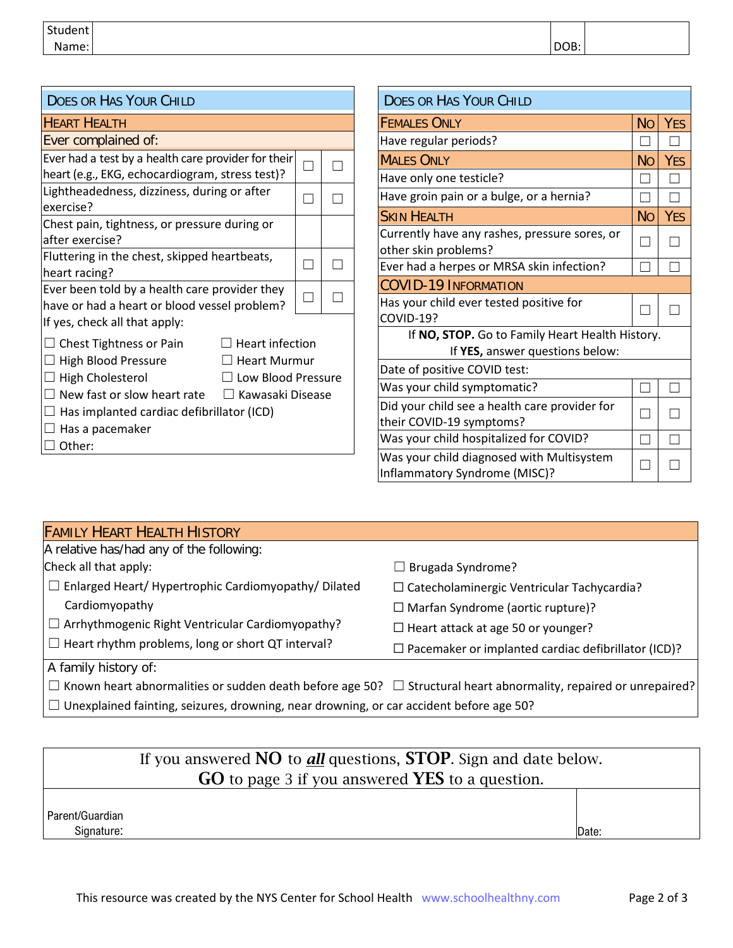| $\bigcap R$ .<br>Name:<br>ັບ∪ ⊔. | <sup>-</sup> tudent |  |  |
|----------------------------------|---------------------|--|--|
|                                  |                     |  |  |

| <b>DOES OR HAS YOUR CHILD</b>                                                                                                                                                                                                                                                                                                  |   | <b>DOES OR HAS YOUR CHILD</b>                                                      |                                                                       |           |            |  |
|--------------------------------------------------------------------------------------------------------------------------------------------------------------------------------------------------------------------------------------------------------------------------------------------------------------------------------|---|------------------------------------------------------------------------------------|-----------------------------------------------------------------------|-----------|------------|--|
| <b>HEART HEALTH</b>                                                                                                                                                                                                                                                                                                            |   |                                                                                    | <b>FEMALES ONLY</b>                                                   | <b>No</b> | <b>YES</b> |  |
| Ever complained of:                                                                                                                                                                                                                                                                                                            |   |                                                                                    | Have regular periods?                                                 |           |            |  |
| Ever had a test by a health care provider for their                                                                                                                                                                                                                                                                            | П |                                                                                    | <b>MALES ONLY</b>                                                     | <b>No</b> | <b>YES</b> |  |
| heart (e.g., EKG, echocardiogram, stress test)?                                                                                                                                                                                                                                                                                |   |                                                                                    | Have only one testicle?                                               |           |            |  |
| Lightheadedness, dizziness, during or after<br>lexercise?                                                                                                                                                                                                                                                                      | Г |                                                                                    | Have groin pain or a bulge, or a hernia?                              |           |            |  |
| Chest pain, tightness, or pressure during or                                                                                                                                                                                                                                                                                   |   |                                                                                    | <b><i>SKIN HEALTH</i></b>                                             | <b>No</b> | <b>YES</b> |  |
| after exercise?                                                                                                                                                                                                                                                                                                                |   |                                                                                    | Currently have any rashes, pressure sores, or<br>other skin problems? |           |            |  |
| Fluttering in the chest, skipped heartbeats,<br>heart racing?                                                                                                                                                                                                                                                                  | Г | $\Box$                                                                             | Ever had a herpes or MRSA skin infection?                             |           |            |  |
| Ever been told by a health care provider they                                                                                                                                                                                                                                                                                  |   | <b>COVID-19 INFORMATION</b>                                                        |                                                                       |           |            |  |
| have or had a heart or blood vessel problem?                                                                                                                                                                                                                                                                                   |   |                                                                                    | Has your child ever tested positive for                               |           |            |  |
| If yes, check all that apply:                                                                                                                                                                                                                                                                                                  |   |                                                                                    | COVID-19?                                                             |           |            |  |
| $\Box$ Chest Tightness or Pain<br>Heart infection<br>$\Box$ High Blood Pressure<br>$\Box$ Heart Murmur<br>$\Box$ High Cholesterol<br>$\Box$ Low Blood Pressure<br>$\Box$ New fast or slow heart rate<br>$\Box$ Kawasaki Disease<br>$\Box$ Has implanted cardiac defibrillator (ICD)<br>$\Box$ Has a pacemaker<br>$\Box$ Other: |   | If NO, STOP. Go to Family Heart Health History.<br>If YES, answer questions below: |                                                                       |           |            |  |
|                                                                                                                                                                                                                                                                                                                                |   |                                                                                    | Date of positive COVID test:                                          |           |            |  |
|                                                                                                                                                                                                                                                                                                                                |   | Was your child symptomatic?                                                        |                                                                       |           |            |  |
|                                                                                                                                                                                                                                                                                                                                |   | Did your child see a health care provider for                                      |                                                                       |           |            |  |
|                                                                                                                                                                                                                                                                                                                                |   | their COVID-19 symptoms?                                                           |                                                                       |           |            |  |
|                                                                                                                                                                                                                                                                                                                                |   | Was your child hospitalized for COVID?                                             | $\vert \ \ \vert$                                                     |           |            |  |
|                                                                                                                                                                                                                                                                                                                                |   |                                                                                    | Was your child diagnosed with Multisystem                             |           |            |  |
|                                                                                                                                                                                                                                                                                                                                |   |                                                                                    | Inflammatory Syndrome (MISC)?                                         |           |            |  |

| <b>FAMILY HEART HEALTH HISTORY</b>                                                                                           |                                                            |  |  |
|------------------------------------------------------------------------------------------------------------------------------|------------------------------------------------------------|--|--|
| A relative has/had any of the following:                                                                                     |                                                            |  |  |
| Check all that apply:                                                                                                        | $\Box$ Brugada Syndrome?                                   |  |  |
| Enlarged Heart/ Hypertrophic Cardiomyopathy/ Dilated<br>⊔                                                                    | $\Box$ Catecholaminergic Ventricular Tachycardia?          |  |  |
| Cardiomyopathy                                                                                                               | $\Box$ Marfan Syndrome (aortic rupture)?                   |  |  |
| $\Box$ Arrhythmogenic Right Ventricular Cardiomyopathy?                                                                      | $\Box$ Heart attack at age 50 or younger?                  |  |  |
| $\Box$ Heart rhythm problems, long or short QT interval?                                                                     | $\Box$ Pacemaker or implanted cardiac defibrillator (ICD)? |  |  |
| A family history of:                                                                                                         |                                                            |  |  |
| $\Box$ Known heart abnormalities or sudden death before age 50? $\Box$ Structural heart abnormality, repaired or unrepaired? |                                                            |  |  |
|                                                                                                                              |                                                            |  |  |

☐ Unexplained fainting, seizures, drowning, near drowning, or car accident before age 50?

|                 | If you answered <b>NO</b> to <b>all</b> questions, <b>STOP</b> . Sign and date below. |       |  |  |
|-----------------|---------------------------------------------------------------------------------------|-------|--|--|
|                 | <b>GO</b> to page 3 if you answered <b>YES</b> to a question.                         |       |  |  |
|                 |                                                                                       |       |  |  |
| Parent/Guardian |                                                                                       |       |  |  |
| Signature:      |                                                                                       | Date: |  |  |